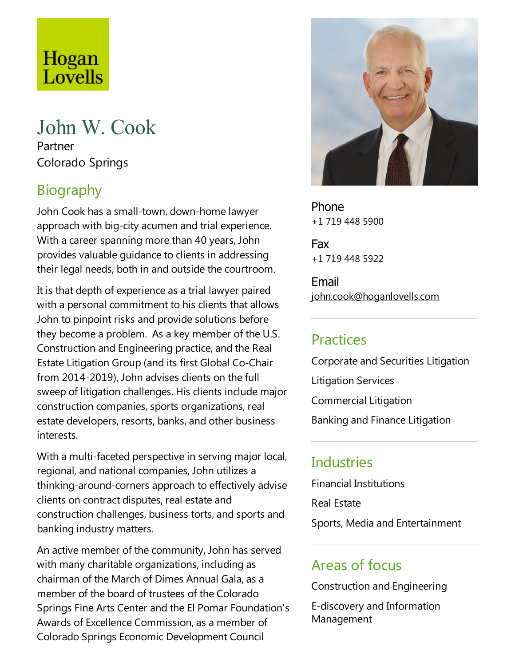# Hogan<br>Lovells

## John W. Cook

Partner Colorado Springs

### Biography

John Cook has a small-town, down-home lawyer approach with big-city acumen and trial experience. With a career spanning more than 40 years, John provides valuable quidance to clients in addressing their legal needs, both in and outside the courtroom.

It is that depth of experience as a trial lawyer paired with a personal commitment to his clients that allows John to pinpoint risks and provide solutions before they become a problem. As a key member of the U.S. Construction and Engineering practice, and the Real Estate Litigation Group (and its first Global Co-Chair from 2014-2019), John advises clients on the full sweep of litigation challenges. His clients include major construction companies, sports organizations, real estate developers, resorts, banks, and other business interests.

With a multi-faceted perspective in serving major local, regional, and national companies, John utilizes a thinking-around-corners approach to effectively advise clients on contract disputes, real estate and construction challenges, business torts, and sports and banking industry matters.

An active member of the community, John has served with many charitable organizations, including as chairman of the March of Dimes Annual Gala, as a member of the board of trustees of the Colorado Springs Fine Arts Center and the El Pomar Foundation's Awards of Excellence Commission, as a member of Colorado Springs Economic Development Council



Phone +1 719 448 5900

Fax +1 719 448 5922

Email john.cook@hoganlovells.com

#### Practices

Corporate and Securities Litigation Litigation Services Commercial Litigation Banking and Finance Litigation

#### **Industries**

Financial Institutions Real Estate Sports, Media and Entertainment

#### Areas of focus

Construction and Engineering

E-discovery and Information Management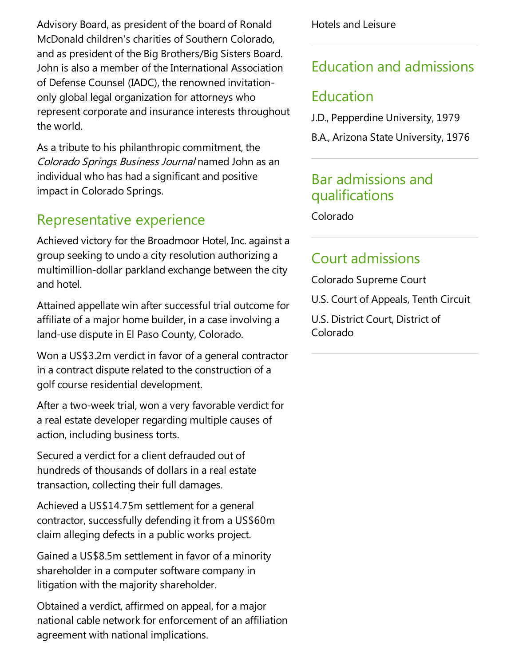Advisory Board, as president of the board of Ronald McDonald children's charities of Southern Colorado, and as president of the Big Brothers/Big Sisters Board. John is also a member of the International Association of Defense Counsel (IADC), the renowned invitationonly global legal organization for attorneys who represent corporate and insurance interests throughout the world.

As a tribute to his philanthropic commitment, the Colorado Springs Business Journal named John as an individual who has had a significant and positive impact in Colorado Springs.

#### Representative experience

Achieved victory for the Broadmoor Hotel, Inc. against a group seeking to undo a city resolution authorizing a multimillion-dollar parkland exchange between the city and hotel.

Attained appellate win after successful trial outcome for affiliate of a major home builder, in a case involving a land-use dispute in El Paso County, Colorado.

Won a US\$3.2m verdict in favor of a general contractor in a contract dispute related to the construction of a golf course residential development.

After a two-week trial, won a very favorable verdict for a real estate developer regarding multiple causes of action, including business torts.

Secured a verdict for a client defrauded out of hundreds of thousands of dollars in a real estate transaction, collecting their full damages.

Achieved a US\$14.75m settlement for a general contractor, successfully defending it from a US\$60m claim alleging defects in a public works project.

Gained a US\$8.5m settlement in favor of a minority shareholder in a computer software company in litigation with the majority shareholder.

Obtained averdict,affirmed on appeal, for a major national cable network for enforcement of an affiliation agreement with national implications.

Hotels and Leisure

#### Education and admissions

#### Education

J.D., Pepperdine University, 1979

B.A., Arizona State University, 1976

#### Bar admissions and qualifications

Colorado

#### Court admissions

Colorado Supreme Court

U.S. Court of Appeals, Tenth Circuit

U.S. District Court, District of Colorado